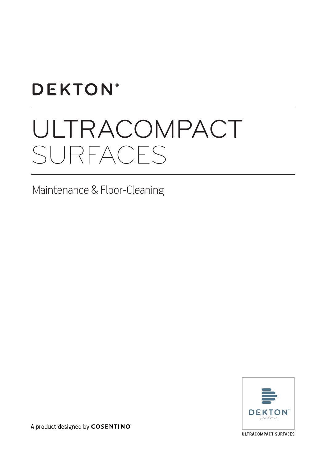## **DEKTON®**

# ULTRACOMPACT SURFACES

## Maintenance & Floor-Cleaning



A product designed by COSENTINO

**ULTRACOMPACT SURFACES**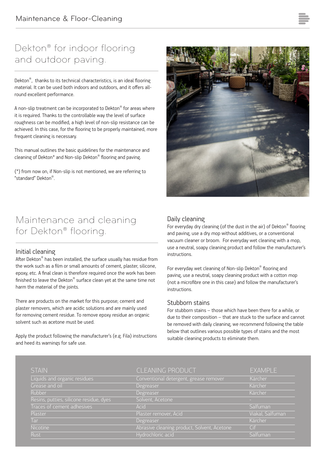## Dekton® for indoor flooring and outdoor paving.

Dekton<sup>®</sup>, thanks to its technical characteristics, is an ideal flooring material. It can be used both indoors and outdoors, and it offers allround excellent performance.

A non-slip treatment can be incorporated to Dekton® for areas where it is required. Thanks to the controllable way the level of surface roughness can be modified, a high level of non-slip resistance can be achieved. In this case, for the flooring to be properly maintained, more frequent cleaning is necessary.

This manual outlines the basic guidelines for the maintenance and cleaning of Dekton\* and Non-slip Dekton® flooring and paving.

(\*) from now on, if Non-slip is not mentioned, we are referring to "standard" Dekton®.

## Maintenance and cleaning for Dekton® flooring.

#### Initial cleaning

After Dekton® has been installed, the surface usually has residue from the work such as a film or small amounts of cement, plaster, silicone, epoxy, etc. A final clean is therefore required once the work has been finished to leave the Dekton® surface clean yet at the same time not harm the material of the joints.

There are products on the market for this purpose; cement and plaster removers, which are acidic solutions and are mainly used for removing cement residue. To remove epoxy residue an organic solvent such as acetone must be used.

Apply the product following the manufacturer's (e.g. Fila) instructions and heed its warnings for safe use.



#### Daily cleaning

For everyday dry cleaning (of the dust in the air) of Dekton® flooring and paving, use a dry mop without additives, or a conventional vacuum cleaner or broom. For everyday wet cleaning with a mop, use a neutral, soapy cleaning product and follow the manufacturer's instructions.

For everyday wet cleaning of Non-slip Dekton® flooring and paving, use a neutral, soapy cleaning product with a cotton mop (not a microfibre one in this case) and follow the manufacturer's instructions.

#### Stubborn stains

For stubborn stains – those which have been there for a while, or due to their composition – that are stuck to the surface and cannot be removed with daily cleaning, we recommend following the table below that outlines various possible types of stains and the most suitable cleaning products to eliminate them.

| <b>STAIN</b>                            | <b>CLEANING PRODUCT</b>                     | EXAMPLE          |
|-----------------------------------------|---------------------------------------------|------------------|
| Liquids and organic residues            | Conventional detergent, grease remover      | Kärcher          |
| Grease and oil                          | Degreaser                                   | Kärcher          |
| Rubber                                  | Degreaser                                   | Kärcher          |
| Resins, putties, silicone residue, dyes | Solvent, Acetone                            | . .              |
| Traces of cement adhesives              | Acid                                        | Salfuman         |
| Plaster                                 | Plaster remover, Acid                       | Viakal, Salfuman |
| Tar                                     | Degreaser                                   | Kärcher          |
| <b>Nicotine</b>                         | Abrasive cleaning product, Solvent, Acetone | Cif              |
| <b>Rust</b>                             | Hydrochloric acid                           | Salfuman         |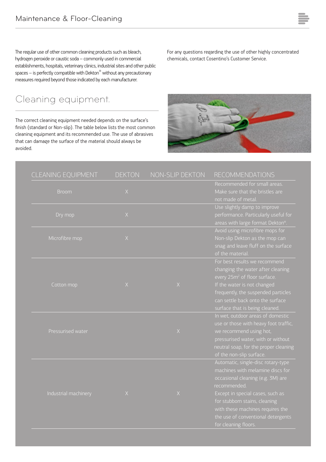The regular use of other common cleaning products such as bleach, hydrogen peroxide or caustic soda – commonly used in commercial establishments, hospitals, veterinary clinics, industrial sites and other public spaces – is perfectly compatible with Dekton® without any precautionary measures required beyond those indicated by each manufacturer.

### Cleaning equipment.

l.

The correct cleaning equipment needed depends on the surface's finish (standard or Non-slip). The table below lists the most common cleaning equipment and its recommended use. The use of abrasives that can damage the surface of the material should always be avoided.

For any questions regarding the use of other highly concentrated chemicals, contact Cosentino's Customer Service.

| CLEANING EQUIPMENT   | <b>DEKTON</b> | NON-SLIP DEKTON | <b>RECOMMENDATIONS</b>                                                                                                                                                                                                                                                                             |
|----------------------|---------------|-----------------|----------------------------------------------------------------------------------------------------------------------------------------------------------------------------------------------------------------------------------------------------------------------------------------------------|
| <b>Broom</b>         | X             |                 | Recommended for small areas.<br>Make sure that the bristles are<br>not made of metal.                                                                                                                                                                                                              |
| Dry mop              | $\mathsf X$   |                 | Use slightly damp to improve<br>performance. Particularly useful for<br>areas with large format Dekton®.                                                                                                                                                                                           |
| Microfibre mop       | $\mathsf X$   |                 | Avoid using microfibre mops for<br>Non-slip Dekton as the mop can<br>snag and leave fluff on the surface<br>of the material.                                                                                                                                                                       |
| Cotton mop           | $\mathsf X$   | $\mathsf X$     | For best results we recommend<br>changing the water after cleaning<br>every 25m <sup>2</sup> of floor surface.<br>If the water is not changed<br>frequently, the suspended particles<br>can settle back onto the surface<br>surface that is being cleaned.                                         |
| Pressurised water    |               | $\mathsf X$     | In wet, outdoor areas of domestic<br>use or those with heavy foot traffic,<br>we recommend using hot,<br>pressurised water, with or without<br>neutral soap, for the proper cleaning<br>of the non-slip surface.                                                                                   |
| Industrial machinery | X             | X               | Automatic, single-disc rotary-type<br>machines with melamine discs for<br>occasional cleaning (e.g. 3M) are<br>recommended.<br>Except in special cases, such as<br>for stubborn stains, cleaning<br>with these machines requires the<br>the use of conventional detergents<br>for cleaning floors. |